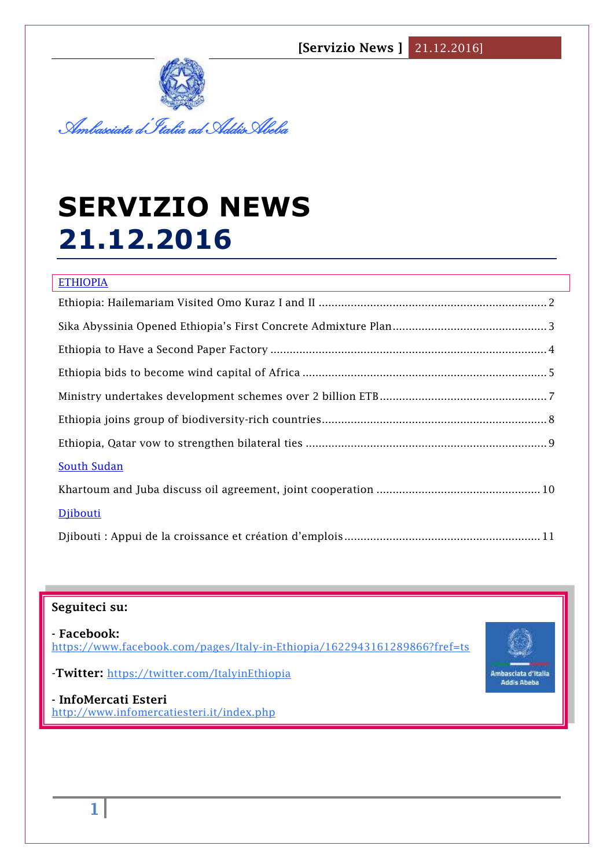**[Servizio News ]** 21.12.2016]



# **SERVIZIO NEWS 21.12.2016**

| <b>ETHIOPIA</b>    |
|--------------------|
|                    |
|                    |
|                    |
|                    |
|                    |
|                    |
|                    |
| <b>South Sudan</b> |
|                    |
| Djibouti           |
|                    |

## **Seguiteci su:**

**- Facebook:** <https://www.facebook.com/pages/Italy-in-Ethiopia/1622943161289866?fref=ts>



-**Twitter:** <https://twitter.com/ItalyinEthiopia>

**- InfoMercati Esteri**  <http://www.infomercatiesteri.it/index.php>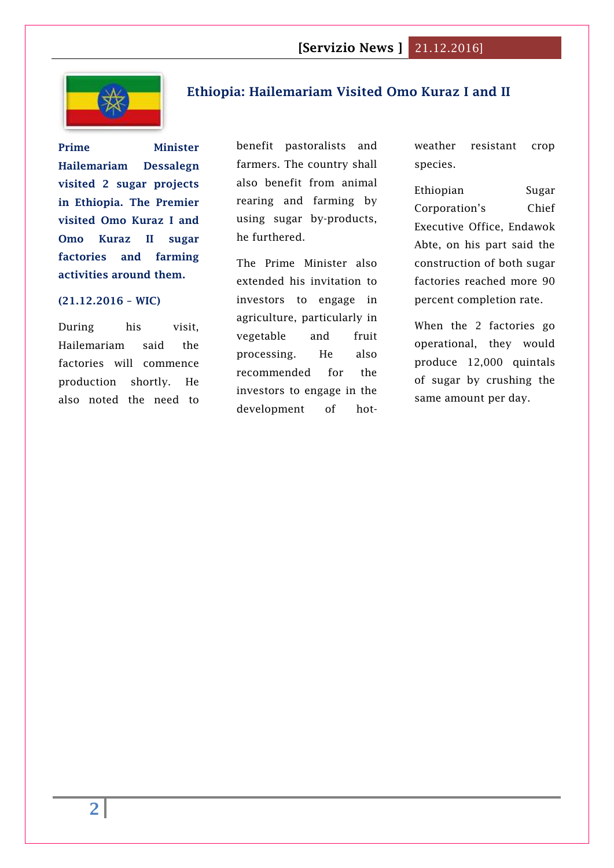

## <span id="page-1-0"></span>**[Ethiopia: Hailemariam Visited Omo Kuraz I and II](http://www.2merkato.com/news/alerts/4875-ethiopia-hailemariam-visited-omo-kuraz-i-and-ii)**

**Prime Minister Hailemariam Dessalegn visited 2 sugar projects in Ethiopia. The Premier visited Omo Kuraz I and Omo Kuraz II sugar factories and farming activities around them.**

#### **(21.12.2016 – WIC)**

During his visit, Hailemariam said the factories will commence production shortly. He also noted the need to

benefit pastoralists and farmers. The country shall also benefit from animal rearing and farming by using sugar by-products, he furthered.

The Prime Minister also extended his invitation to investors to engage in agriculture, particularly in vegetable and fruit processing. He also recommended for the investors to engage in the development of hotweather resistant crop species.

# Ethiopian Sugar Corporation's Chief Executive Office, Endawok Abte, on his part said the construction of both sugar factories reached more 90 percent completion rate.

When the 2 factories go operational, they would produce 12,000 quintals of sugar by crushing the same amount per day.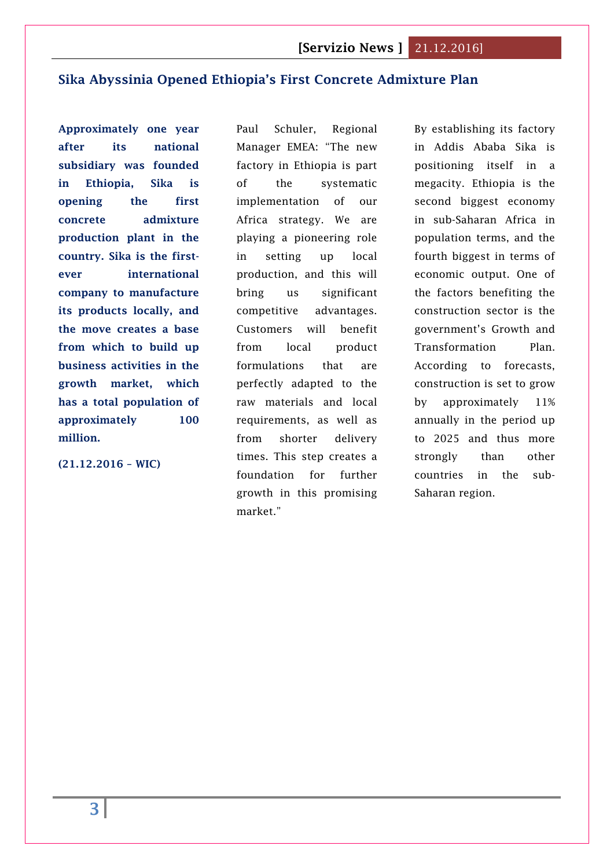## <span id="page-2-0"></span>**[Sika Abyssinia Opened Ethiopia's First Concrete Admixture Plan](http://www.2merkato.com/news/alerts/4874-sika-abyssinia-opened-ethiopias-first-concrete-admixture-plan)**

**Approximately one year after its national subsidiary was founded in Ethiopia, Sika is opening the first concrete admixture production plant in the country. Sika is the firstever international company to manufacture its products locally, and the move creates a base from which to build up business activities in the growth market, which has a total population of approximately 100 million.**

**(21.12.2016 – WIC)**

Paul Schuler, Regional Manager EMEA: "The new factory in Ethiopia is part of the systematic implementation of our Africa strategy. We are playing a pioneering role in setting up local production, and this will bring us significant competitive advantages. Customers will benefit from local product formulations that are perfectly adapted to the raw materials and local requirements, as well as from shorter delivery times. This step creates a foundation for further growth in this promising market."

By establishing its factory in Addis Ababa Sika is positioning itself in a megacity. Ethiopia is the second biggest economy in sub-Saharan Africa in population terms, and the fourth biggest in terms of economic output. One of the factors benefiting the construction sector is the government's Growth and Transformation Plan. According to forecasts, construction is set to grow by approximately 11% annually in the period up to 2025 and thus more strongly than other countries in the sub-Saharan region.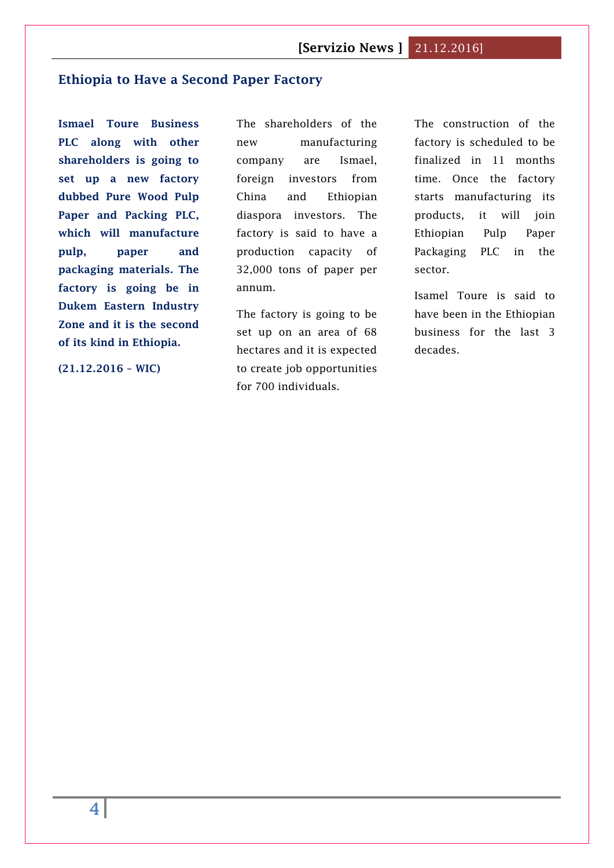## <span id="page-3-0"></span>**[Ethiopia to Have a Second Paper Factory](http://www.2merkato.com/news/alerts/4873-ethiopia-to-have-a-second-paper-factory)**

**Ismael Toure Business PLC along with other shareholders is going to set up a new factory dubbed Pure Wood Pulp Paper and Packing PLC, which will manufacture pulp, paper and packaging materials. The factory is going be in Dukem Eastern Industry Zone and it is the second of its kind in Ethiopia.**

**(21.12.2016 – WIC)**

The shareholders of the new manufacturing company are Ismael, foreign investors from China and Ethiopian diaspora investors. The factory is said to have a production capacity of 32,000 tons of paper per annum.

The factory is going to be set up on an area of 68 hectares and it is expected to create job opportunities for 700 individuals.

The construction of the factory is scheduled to be finalized in 11 months time. Once the factory starts manufacturing its products, it will join Ethiopian Pulp Paper Packaging PLC in the sector.

Isamel Toure is said to have been in the Ethiopian business for the last 3 decades.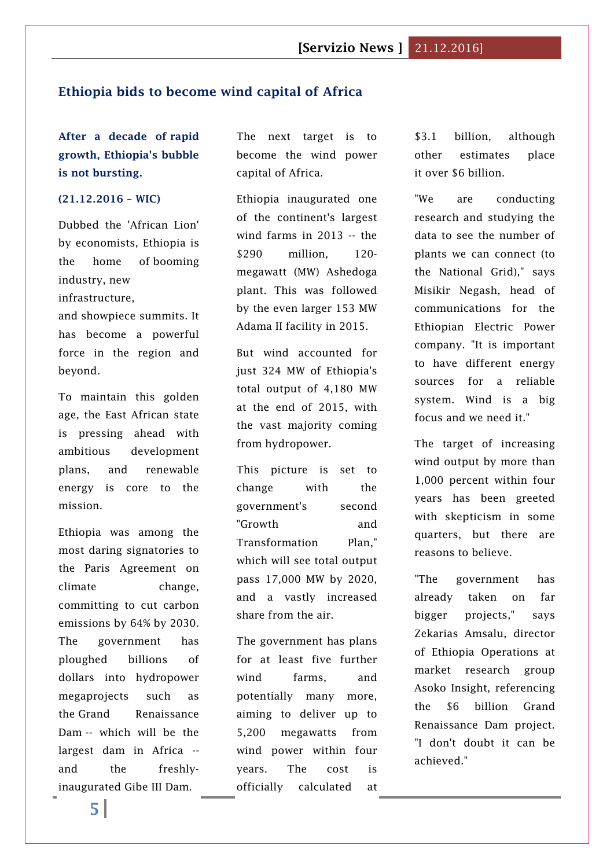#### <span id="page-4-0"></span>**Ethiopia bids to become wind capital of Africa**

**After a decade of [rapid](http://www.worldbank.org/en/country/ethiopia/publication/ethiopia-great-run-growth-acceleration-how-to-pace-it)  [growth,](http://www.worldbank.org/en/country/ethiopia/publication/ethiopia-great-run-growth-acceleration-how-to-pace-it) Ethiopia's bubble is not bursting.**

#### **(21.12.2016 – WIC)**

Dubbed the 'African Lion' by economists, Ethiopia is the home of [booming](http://edition.cnn.com/2016/07/25/travel/ethiopia-africa-travel-next-big-thing/)  [industry,](http://edition.cnn.com/2016/07/25/travel/ethiopia-africa-travel-next-big-thing/) [new](http://www.railway-technology.com/features/featureimproved-access-for-ethiopia-opening-the-addis-ababa-djibouti-line-4836968/)  [infrastructure,](http://www.railway-technology.com/features/featureimproved-access-for-ethiopia-opening-the-addis-ababa-djibouti-line-4836968/)

and [showpiece summits.](http://summit.corporatecouncilonafrica.com/) It has become a powerful force in the region and beyond.

To maintain this golden age, the East African state is pressing ahead with ambitious development plans, and renewable energy is core to the mission.

Ethiopia was among the most daring signatories to the Paris Agreement on climate change, committing to cut carbon emissions by [64% by 2030.](http://www4.unfccc.int/submissions/INDC/Published%20Documents/Ethiopia/1/INDC-Ethiopia-100615.pdf) The government has ploughed billions of dollars into hydropower megaprojects such as the [Grand Renaissance](http://edition.cnn.com/2015/03/06/africa/grand-reneissance-dam-ethiopia/)  [Dam](http://edition.cnn.com/2015/03/06/africa/grand-reneissance-dam-ethiopia/) -- which will be the largest dam in Africa - and the freshlyinaugurated Gibe III Dam.

The next target is to become the wind power capital of Africa.

Ethiopia inaugurated one of the continent's largest wind farms in 2013 -- the \$290 million, 120 megawatt (MW) Ashedoga plant. This was followed by the even larger 153 MW Adama II facility in 2015.

But wind accounted for just 324 MW of Ethiopia's total output of 4,180 MW at the end of 2015, with the vast majority coming from hydropower.

This picture is set to change with the government's second ["Growth and](http://dagethiopia.org/new/docstation/com_content.article/100/gtpii__english_translation__final__june_21_2016.pdf)  [Transformation Plan,](http://dagethiopia.org/new/docstation/com_content.article/100/gtpii__english_translation__final__june_21_2016.pdf)" which will see total output pass 17,000 MW by 2020, and a vastly increased share from the air.

The government has plans for at least five further wind farms, and potentially many more, aiming to deliver up to 5,200 megawatts from wind power within four years. The cost is officially calculated at

\$3.1 billion, although other estimates place it [over \\$6 billion.](https://ens.dk/en/press#/news/danish-wind-expertise-to-ensure-growth-and-development-in-ethiopia-205443)

"We are conducting research and studying the data to see the number of plants we can connect (to the National Grid)," says Misikir Negash, head of communications for the Ethiopian Electric Power company. "It is important to have different energy sources for a reliable system. Wind is a big focus and we need it."

The target of increasing wind output by more than 1,000 percent within four years has been greeted with skepticism in some quarters, but there are reasons to believe.

"The government has already taken on far bigger projects," says Zekarias Amsalu, director of Ethiopia Operations at market research group Asoko Insight, referencing the \$6 billion Grand Renaissance Dam project. "I don't doubt it can be achieved."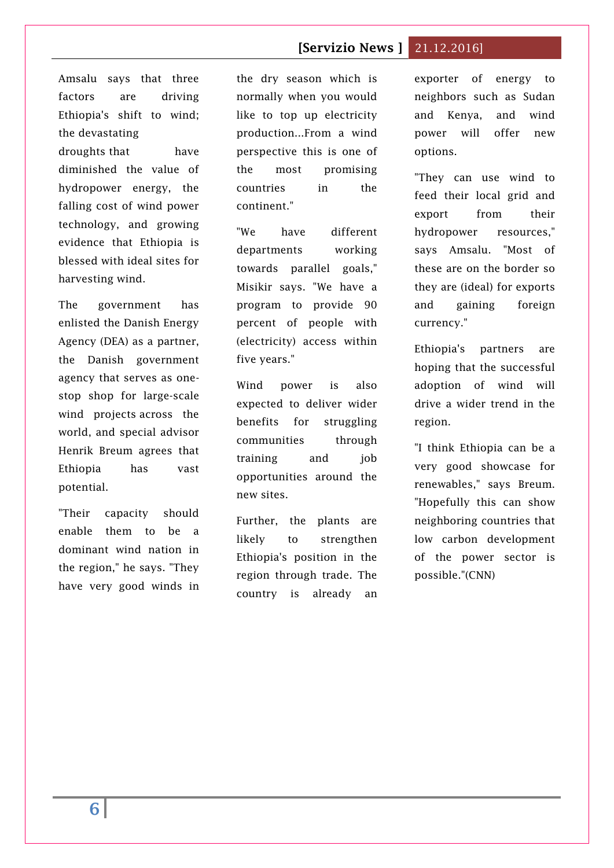# **[Servizio News ]** 21.12.2016]

Amsalu says that three factors are driving Ethiopia's shift to wind; the [devastating](https://www.oxfam.org/en/ethiopia-drought-ethiopia/el-nino-strikes-ethiopia-without-water-we-are-no-more)  [droughts](https://www.oxfam.org/en/ethiopia-drought-ethiopia/el-nino-strikes-ethiopia-without-water-we-are-no-more) that have diminished the value of hydropower energy, the falling cost of wind power technology, and growing evidence that Ethiopia is blessed with ideal sites for harvesting wind.

The government has enlisted the Danish Energy Agency (DEA) as a partner, the Danish government agency that serves as onestop shop for large-scale wind projects [across the](https://ens.dk/sites/ens.dk/files/Globalcooperation/wind_power_in_china_opdateret.pdf)  [world,](https://ens.dk/sites/ens.dk/files/Globalcooperation/wind_power_in_china_opdateret.pdf) and special advisor Henrik Breum agrees that Ethiopia has vast potential.

"Their capacity should enable them to be a dominant wind nation in the region," he says. "They have very good winds in the dry season which is normally when you would like to top up electricity production...From a wind perspective this is one of the most promising countries in the continent."

"We have different departments working towards parallel goals," Misikir says. "We have a program to provide 90 percent of people with (electricity) access within five years."

Wind power is also expected to deliver wider benefits for struggling communities through training and job opportunities around the new sites.

Further, the plants are likely to strengthen Ethiopia's position in the region through trade. The country is already an

exporter of energy to neighbors such as Sudan and Kenya, and wind power will offer new options.

"They can use wind to feed their local grid and export from their hydropower resources," says Amsalu. "Most of these are on the border so they are (ideal) for exports and gaining foreign currency."

Ethiopia's partners are hoping that the successful adoption of wind will drive a wider trend in the region.

"I think Ethiopia can be a very good showcase for renewables," says Breum. "Hopefully this can show neighboring countries that low carbon development of the power sector is possible."(CNN)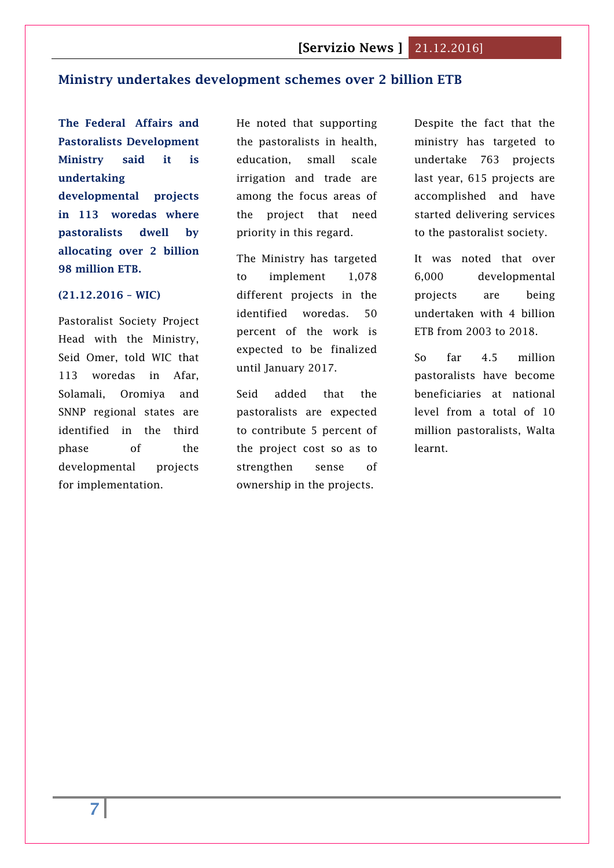## <span id="page-6-0"></span>**Ministry undertakes development schemes over 2 billion ETB**

**The Federal Affairs and Pastoralists Development Ministry said it is undertaking** 

**developmental projects in 113 woredas where pastoralists dwell by allocating over 2 billion 98 million ETB.** 

#### **(21.12.2016 – WIC)**

Pastoralist Society Project Head with the Ministry, Seid Omer, told WIC that 113 woredas in Afar, Solamali, Oromiya and SNNP regional states are identified in the third phase of the developmental projects for implementation.

He noted that supporting the pastoralists in health, education, small scale irrigation and trade are among the focus areas of the project that need priority in this regard.

The Ministry has targeted to implement 1,078 different projects in the identified woredas. 50 percent of the work is expected to be finalized until January 2017.

Seid added that the pastoralists are expected to contribute 5 percent of the project cost so as to strengthen sense of ownership in the projects.

Despite the fact that the ministry has targeted to undertake 763 projects last year, 615 projects are accomplished and have started delivering services to the pastoralist society.

It was noted that over 6,000 developmental projects are being undertaken with 4 billion ETB from 2003 to 2018.

So far 4.5 million pastoralists have become beneficiaries at national level from a total of 10 million pastoralists, Walta learnt.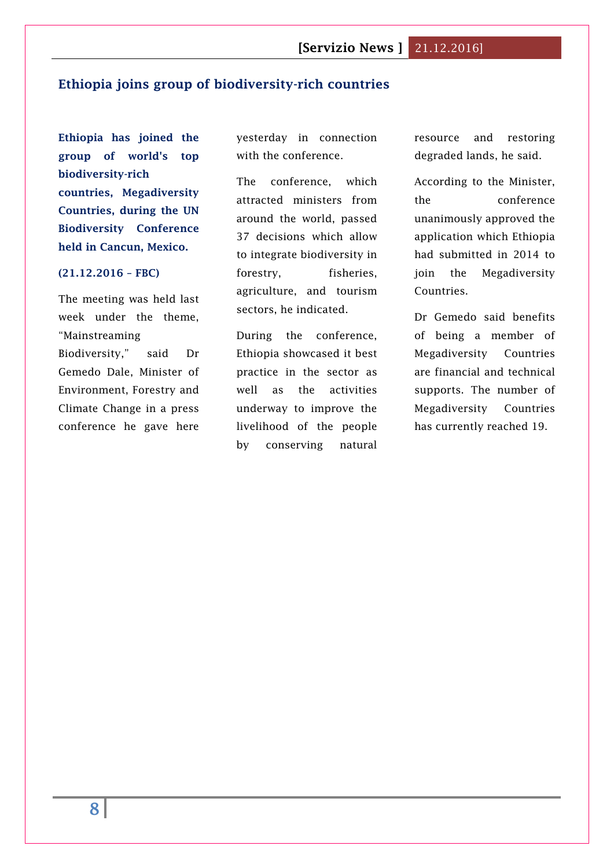## <span id="page-7-0"></span>**Ethiopia joins group of biodiversity-rich countries**

**Ethiopia has joined the group of world's top biodiversity-rich countries, Megadiversity Countries, during the UN Biodiversity Conference held in Cancun, Mexico.**

#### **(21.12.2016 – FBC)**

The meeting was held last week under the theme, "Mainstreaming Biodiversity," said Dr Gemedo Dale, Minister of Environment, Forestry and Climate Change in a press conference he gave here

yesterday in connection with the conference.

The conference, which attracted ministers from around the world, passed 37 decisions which allow to integrate biodiversity in forestry, fisheries, agriculture, and tourism sectors, he indicated.

During the conference, Ethiopia showcased it best practice in the sector as well as the activities underway to improve the livelihood of the people by conserving natural

resource and restoring degraded lands, he said.

According to the Minister, the conference unanimously approved the application which Ethiopia had submitted in 2014 to join the Megadiversity Countries.

Dr Gemedo said benefits of being a member of Megadiversity Countries are financial and technical supports. The number of Megadiversity Countries has currently reached 19.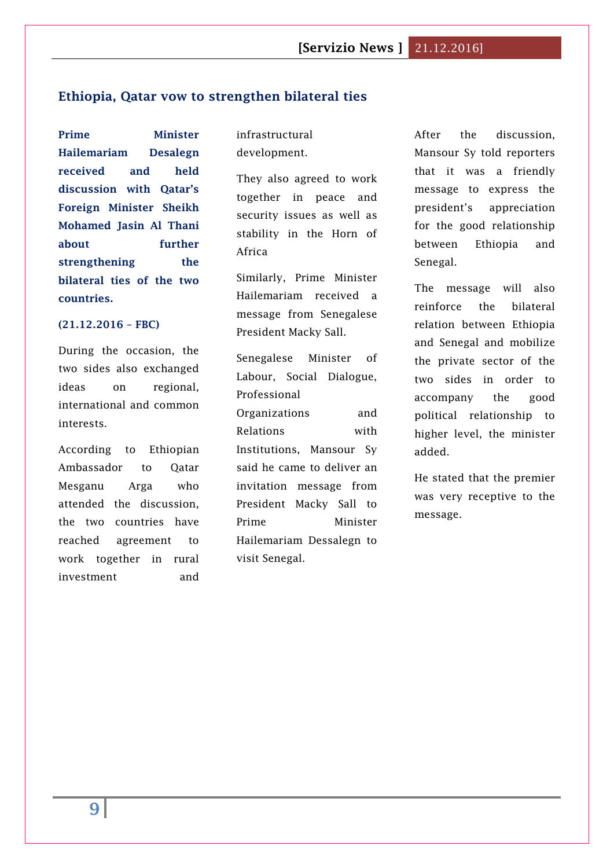#### <span id="page-8-0"></span>**Ethiopia, Qatar vow to strengthen bilateral ties**

**Prime Minister Hailemariam Desalegn received and held discussion with Qatar's Foreign Minister Sheikh Mohamed Jasin Al Thani about further strengthening the bilateral ties of the two countries.**

#### **(21.12.2016 – FBC)**

During the occasion, the two sides also exchanged ideas on regional, international and common interests.

According to Ethiopian Ambassador to Qatar Mesganu Arga who attended the discussion, the two countries have reached agreement to work together in rural investment and

infrastructural development.

They also agreed to work together in peace and security issues as well as stability in the Horn of Africa

Similarly, Prime Minister Hailemariam received a message from Senegalese President Macky Sall.

Senegalese Minister of Labour, Social Dialogue, Professional Organizations and Relations with Institutions, Mansour Sy said he came to deliver an invitation message from President Macky Sall to Prime Minister Hailemariam Dessalegn to visit Senegal.

After the discussion, Mansour Sy told reporters that it was a friendly message to express the president's appreciation for the good relationship between Ethiopia and Senegal.

The message will also reinforce the bilateral relation between Ethiopia and Senegal and mobilize the private sector of the two sides in order to accompany the good political relationship to higher level, the minister added.

He stated that the premier was very receptive to the message.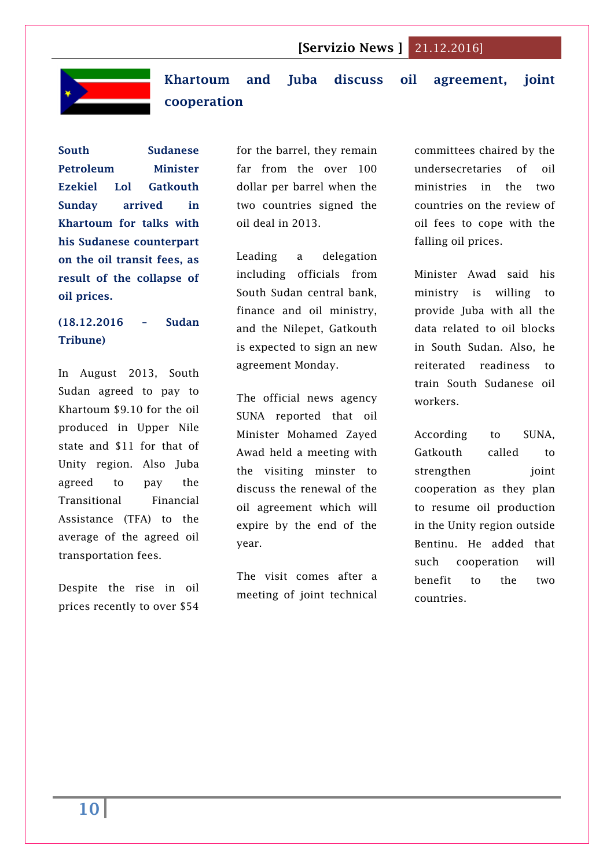

<span id="page-9-0"></span>**Khartoum and Juba discuss oil agreement, joint cooperation**

**South Sudanese Petroleum Minister Ezekiel Lol Gatkouth Sunday arrived in Khartoum for talks with his Sudanese counterpart on the oil transit fees, as result of the collapse of oil prices.**

# **(18.12.2016 – Sudan Tribune)**

In August 2013, South Sudan agreed to pay to Khartoum \$9.10 for the oil produced in Upper Nile state and \$11 for that of Unity region. Also Juba agreed to pay the Transitional Financial Assistance (TFA) to the average of the agreed oil transportation fees.

Despite the rise in oil prices recently to over \$54

for the barrel, they remain far from the over 100 dollar per barrel when the two countries signed the oil deal in 2013.

Leading a delegation including officials from South Sudan central bank, finance and oil ministry, and the Nilepet, Gatkouth is expected to sign an new agreement Monday.

The official news agency SUNA reported that oil Minister Mohamed Zayed Awad held a meeting with the visiting minster to discuss the renewal of the oil agreement which will expire by the end of the year.

The visit comes after a meeting of joint technical

committees chaired by the undersecretaries of oil ministries in the two countries on the review of oil fees to cope with the falling oil prices.

Minister Awad said his ministry is willing to provide Juba with all the data related to oil blocks in South Sudan. Also, he reiterated readiness to train South Sudanese oil workers.

According to SUNA, Gatkouth called to strengthen joint cooperation as they plan to resume oil production in the Unity region outside Bentinu. He added that such cooperation will benefit to the two countries.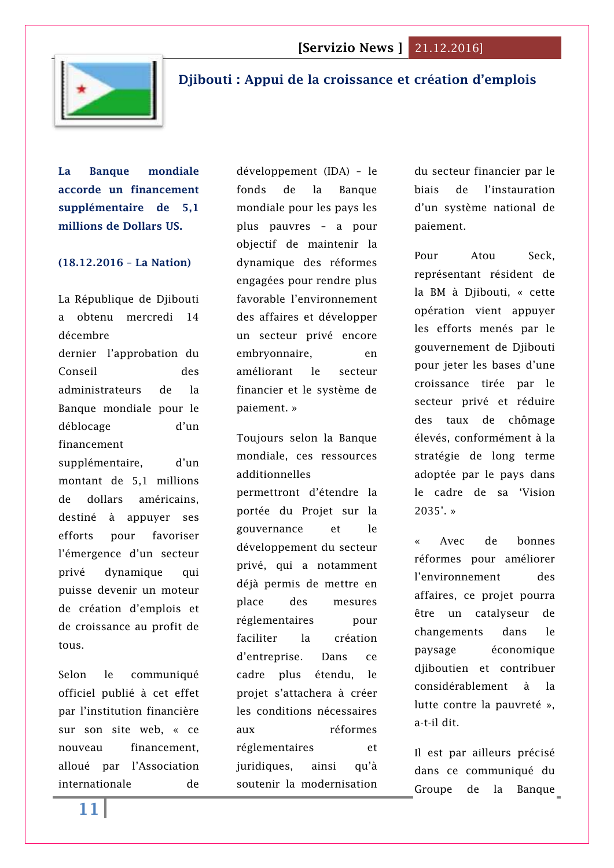

# <span id="page-10-0"></span>**[Djibouti : Appui de la croissance et création](http://www.lanationdj.com/djibouti-appui-de-croissance-creation-demplois/) d'emplois**

**La Banque mondiale accorde un financement supplémentaire de 5,1 millions de Dollars US.**

#### **(18.12.2016 – La Nation)**

La République de Djibouti a obtenu mercredi 14 décembre dernier l'approbation du Conseil des administrateurs de la Banque mondiale pour le déblocage d'un financement supplémentaire, d'un montant de 5,1 millions de dollars américains, destiné à appuyer ses efforts pour favoriser l'émergence d'un secteur privé dynamique qui puisse devenir un moteur de création d'emplois et de croissance au profit de tous.

Selon le communiqué officiel publié à cet effet par l'institution financière sur son site web, « ce nouveau financement, alloué par l'Association internationale de

développement (IDA) – le fonds de la Banque mondiale pour les pays les plus pauvres – a pour objectif de maintenir la dynamique des réformes engagées pour rendre plus favorable l'environnement des affaires et développer un secteur privé encore embryonnaire, en améliorant le secteur financier et le système de paiement. »

Toujours selon la Banque mondiale, ces ressources additionnelles permettront d'étendre la portée du Projet sur la gouvernance et le développement du secteur privé, qui a notamment déjà permis de mettre en place des mesures réglementaires pour faciliter la création d'entreprise. Dans ce cadre plus étendu, le projet s'attachera à créer les conditions nécessaires aux réformes réglementaires et juridiques, ainsi qu'à soutenir la modernisation

du secteur financier par le biais de l'instauration d'un système national de paiement.

Pour Atou Seck, représentant résident de la BM à Djibouti, « cette opération vient appuyer les efforts menés par le gouvernement de Djibouti pour jeter les bases d'une croissance tirée par le secteur privé et réduire des taux de chômage élevés, conformément à la stratégie de long terme adoptée par le pays dans le cadre de sa 'Vision 2035'. »

Avec de bonnes réformes pour améliorer l'environnement des affaires, ce projet pourra être un catalyseur de changements dans le paysage économique diiboutien et contribuer considérablement à la lutte contre la pauvreté », a-t-il dit.

Il est par ailleurs précisé dans ce communiqué du Groupe de la Banque